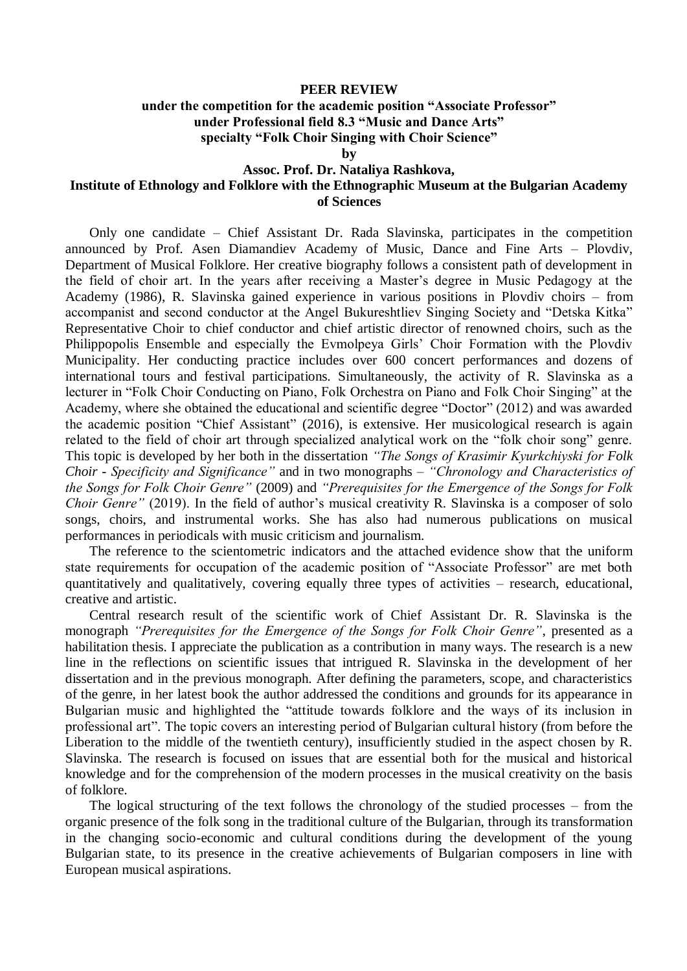## **PEER REVIEW**

## **under the competition for the academic position "Associate Professor" under Professional field 8.3 "Music and Dance Arts" specialty "Folk Choir Singing with Choir Science"**

**by**

## **Assoc. Prof. Dr. Nataliya Rashkova,**

## **Institute of Ethnology and Folklore with the Ethnographic Museum at the Bulgarian Academy of Sciences**

Only one candidate – Chief Assistant Dr. Rada Slavinska, participates in the competition announced by Prof. Asen Diamandiev Academy of Music, Dance and Fine Arts – Plovdiv, Department of Musical Folklore. Her creative biography follows a consistent path of development in the field of choir art. In the years after receiving a Master's degree in Music Pedagogy at the Academy (1986), R. Slavinska gained experience in various positions in Plovdiv choirs – from accompanist and second conductor at the Angel Bukureshtliev Singing Society and "Detska Kitka" Representative Choir to chief conductor and chief artistic director of renowned choirs, such as the Philippopolis Ensemble and especially the Evmolpeya Girls' Choir Formation with the Plovdiv Municipality. Her conducting practice includes over 600 concert performances and dozens of international tours and festival participations. Simultaneously, the activity of R. Slavinska as a lecturer in "Folk Choir Conducting on Piano, Folk Orchestra on Piano and Folk Choir Singing" at the Academy, where she obtained the educational and scientific degree "Doctor" (2012) and was awarded the academic position "Chief Assistant" (2016), is extensive. Her musicological research is again related to the field of choir art through specialized analytical work on the "folk choir song" genre. This topic is developed by her both in the dissertation *"The Songs of Krasimir Kyurkchiyski for Folk Choir - Specificity and Significance"* and in two monographs – *"Chronology and Characteristics of the Songs for Folk Choir Genre"* (2009) and *"Prerequisites for the Emergence of the Songs for Folk Choir Genre*" (2019). In the field of author's musical creativity R. Slavinska is a composer of solo songs, choirs, and instrumental works. She has also had numerous publications on musical performances in periodicals with music criticism and journalism.

The reference to the scientometric indicators and the attached evidence show that the uniform state requirements for occupation of the academic position of "Associate Professor" are met both quantitatively and qualitatively, covering equally three types of activities – research, educational, creative and artistic.

Central research result of the scientific work of Chief Assistant Dr. R. Slavinska is the monograph *"Prerequisites for the Emergence of the Songs for Folk Choir Genre"*, presented as a habilitation thesis. I appreciate the publication as a contribution in many ways. The research is a new line in the reflections on scientific issues that intrigued R. Slavinska in the development of her dissertation and in the previous monograph. After defining the parameters, scope, and characteristics of the genre, in her latest book the author addressed the conditions and grounds for its appearance in Bulgarian music and highlighted the "attitude towards folklore and the ways of its inclusion in professional art". The topic covers an interesting period of Bulgarian cultural history (from before the Liberation to the middle of the twentieth century), insufficiently studied in the aspect chosen by R. Slavinska. The research is focused on issues that are essential both for the musical and historical knowledge and for the comprehension of the modern processes in the musical creativity on the basis of folklore.

The logical structuring of the text follows the chronology of the studied processes – from the organic presence of the folk song in the traditional culture of the Bulgarian, through its transformation in the changing socio-economic and cultural conditions during the development of the young Bulgarian state, to its presence in the creative achievements of Bulgarian composers in line with European musical aspirations.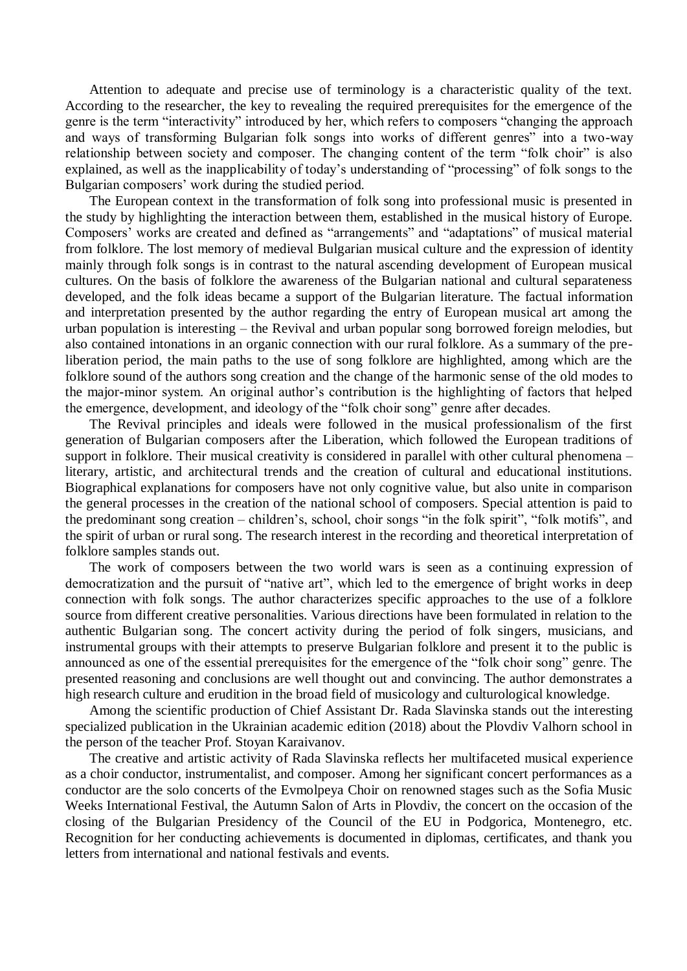Attention to adequate and precise use of terminology is a characteristic quality of the text. According to the researcher, the key to revealing the required prerequisites for the emergence of the genre is the term "interactivity" introduced by her, which refers to composers "changing the approach and ways of transforming Bulgarian folk songs into works of different genres" into a two-way relationship between society and composer. The changing content of the term "folk choir" is also explained, as well as the inapplicability of today's understanding of "processing" of folk songs to the Bulgarian composers' work during the studied period.

The European context in the transformation of folk song into professional music is presented in the study by highlighting the interaction between them, established in the musical history of Europe. Composers' works are created and defined as "arrangements" and "adaptations" of musical material from folklore. The lost memory of medieval Bulgarian musical culture and the expression of identity mainly through folk songs is in contrast to the natural ascending development of European musical cultures. On the basis of folklore the awareness of the Bulgarian national and cultural separateness developed, and the folk ideas became a support of the Bulgarian literature. The factual information and interpretation presented by the author regarding the entry of European musical art among the urban population is interesting – the Revival and urban popular song borrowed foreign melodies, but also contained intonations in an organic connection with our rural folklore. As a summary of the preliberation period, the main paths to the use of song folklore are highlighted, among which are the folklore sound of the authors song creation and the change of the harmonic sense of the old modes to the major-minor system. An original author's contribution is the highlighting of factors that helped the emergence, development, and ideology of the "folk choir song" genre after decades.

The Revival principles and ideals were followed in the musical professionalism of the first generation of Bulgarian composers after the Liberation, which followed the European traditions of support in folklore. Their musical creativity is considered in parallel with other cultural phenomena – literary, artistic, and architectural trends and the creation of cultural and educational institutions. Biographical explanations for composers have not only cognitive value, but also unite in comparison the general processes in the creation of the national school of composers. Special attention is paid to the predominant song creation – children's, school, choir songs "in the folk spirit", "folk motifs", and the spirit of urban or rural song. The research interest in the recording and theoretical interpretation of folklore samples stands out.

The work of composers between the two world wars is seen as a continuing expression of democratization and the pursuit of "native art", which led to the emergence of bright works in deep connection with folk songs. The author characterizes specific approaches to the use of a folklore source from different creative personalities. Various directions have been formulated in relation to the authentic Bulgarian song. The concert activity during the period of folk singers, musicians, and instrumental groups with their attempts to preserve Bulgarian folklore and present it to the public is announced as one of the essential prerequisites for the emergence of the "folk choir song" genre. The presented reasoning and conclusions are well thought out and convincing. The author demonstrates a high research culture and erudition in the broad field of musicology and culturological knowledge.

Among the scientific production of Chief Assistant Dr. Rada Slavinska stands out the interesting specialized publication in the Ukrainian academic edition (2018) about the Plovdiv Valhorn school in the person of the teacher Prof. Stoyan Karaivanov.

The creative and artistic activity of Rada Slavinska reflects her multifaceted musical experience as a choir conductor, instrumentalist, and composer. Among her significant concert performances as a conductor are the solo concerts of the Evmolpeya Choir on renowned stages such as the Sofia Music Weeks International Festival, the Autumn Salon of Arts in Plovdiv, the concert on the occasion of the closing of the Bulgarian Presidency of the Council of the EU in Podgorica, Montenegro, etc. Recognition for her conducting achievements is documented in diplomas, certificates, and thank you letters from international and national festivals and events.